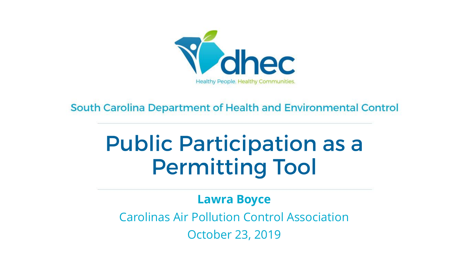

South Carolina Department of Health and Environmental Control

## **Public Participation as a Permitting Tool**

#### **Lawra Boyce**

Carolinas Air Pollution Control Association October 23, 2019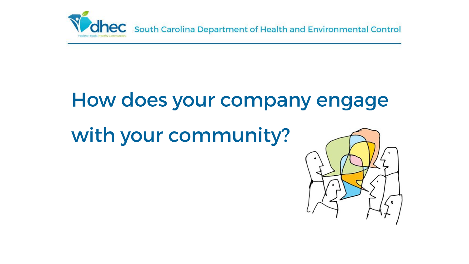

### How does your company engage

with your community?

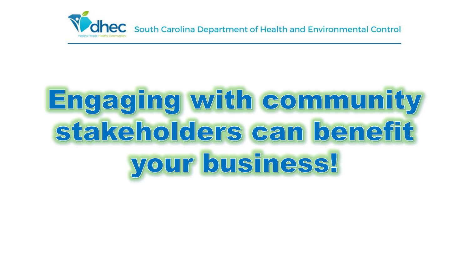

# Engaging with community stakeholders can benefit your business!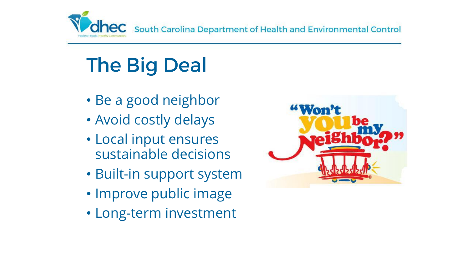

## **The Big Deal**

- Be a good neighbor
- Avoid costly delays
- Local input ensures sustainable decisions
- Built-in support system
- Improve public image
- Long-term investment

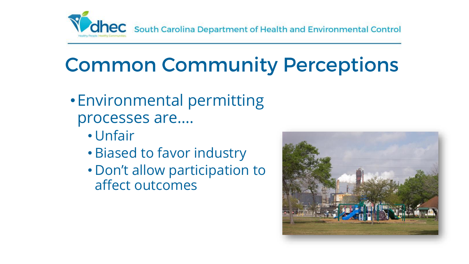

### **Common Community Perceptions**

- •Environmental permitting processes are….
	- Unfair
	- Biased to favor industry
	- Don't allow participation to affect outcomes

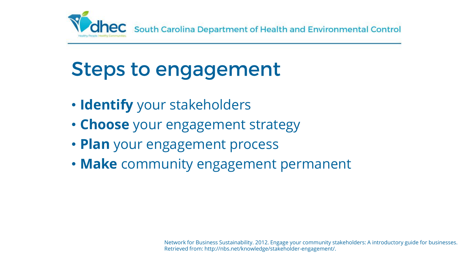

#### **Steps to engagement**

- **Identify** your stakeholders
- **Choose** your engagement strategy
- **Plan** your engagement process
- **Make** community engagement permanent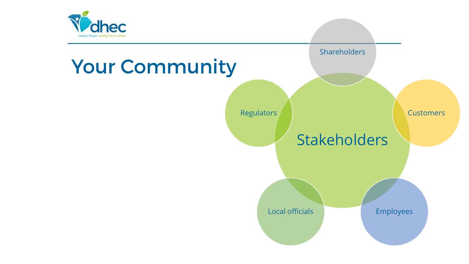

### **Your Community**

**Stakeholders** Shareholders **Customers** Local officials **Employees Regulators**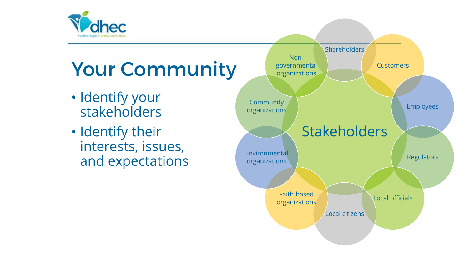

## **Your Community**

- Identify your stakeholders
- Identify their interests, issues, and expectations

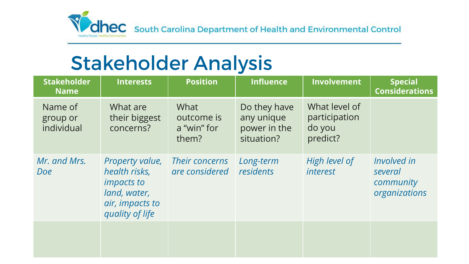

#### **Stakeholder Analysis**

| <b>Stakeholder</b><br><b>Name</b> | <b>Interests</b>                                                                                            | <b>Position</b>                            | <b>Influence</b>                                         | <b>Involvement</b>                                   | <b>Special</b><br><b>Considerations</b>              |
|-----------------------------------|-------------------------------------------------------------------------------------------------------------|--------------------------------------------|----------------------------------------------------------|------------------------------------------------------|------------------------------------------------------|
| Name of<br>group or<br>individual | What are<br>their biggest<br>concerns?                                                                      | What<br>outcome is<br>a "win" for<br>them? | Do they have<br>any unique<br>power in the<br>situation? | What level of<br>participation<br>do you<br>predict? |                                                      |
| Mr. and Mrs.<br>Doe               | Property value,<br>health risks,<br><i>impacts to</i><br>land, water,<br>air, impacts to<br>quality of life | Their concerns<br>are considered           | Long-term<br>residents                                   | High level of<br><i>interest</i>                     | Involved in<br>several<br>community<br>organizations |
|                                   |                                                                                                             |                                            |                                                          |                                                      |                                                      |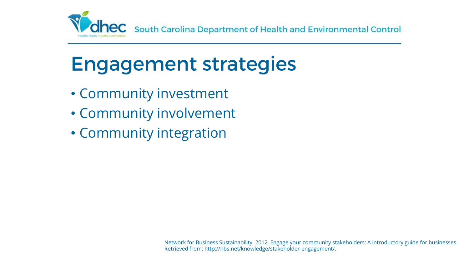

### **Engagement strategies**

- Community investment
- Community involvement
- Community integration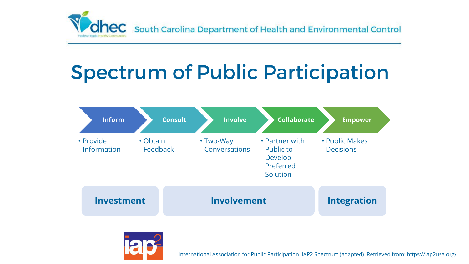

### **Spectrum of Public Participation**





International Association for Public Participation. IAP2 Spectrum (adapted). Retrieved from: https://iap2usa.org/.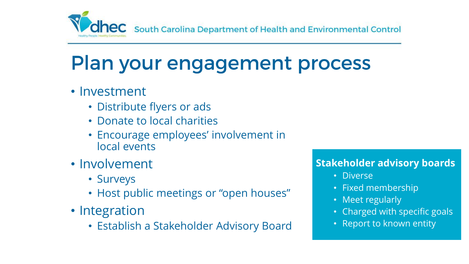

#### Plan your engagement process

- Investment
	- Distribute flyers or ads
	- Donate to local charities
	- Encourage employees' involvement in local events
- Involvement
	- Surveys
	- Host public meetings or "open houses"
- Integration
	- Establish a Stakeholder Advisory Board

#### **Stakeholder advisory boards**

- Diverse
- Fixed membership
- Meet regularly
- Charged with specific goals
- Report to known entity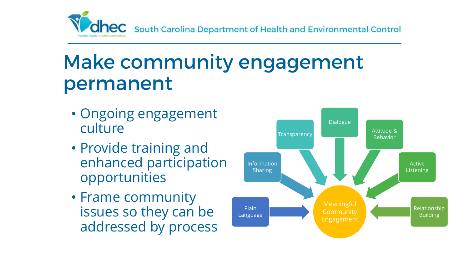

#### **Make community engagement** permanent

- Ongoing engagement culture
- Provide training and enhanced participation opportunities
- Frame community issues so they can be addressed by process

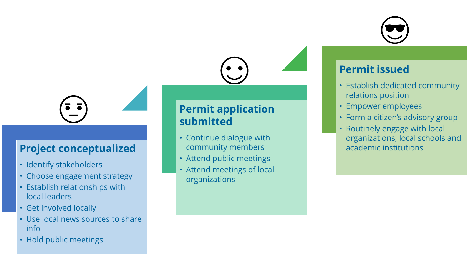



#### **Project conceptualized**

- Identify stakeholders
- Choose engagement strategy
- Establish relationships with local leaders
- Get involved locally
- Use local news sources to share info
- Hold public meetings

#### **Permit application submitted**

- Continue dialogue with community members
- Attend public meetings
- Attend meetings of local organizations

#### **Permit issued**

- Establish dedicated community relations position
- Empower employees
- Form a citizen's advisory group
- Routinely engage with local organizations, local schools and academic institutions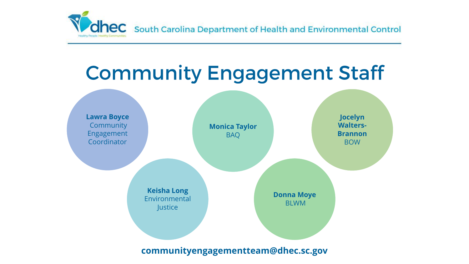

#### **Community Engagement Staff**



**communityengagementteam@dhec.sc.gov**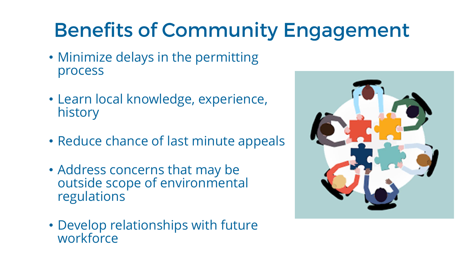### **Benefits of Community Engagement**

- Minimize delays in the permitting process
- Learn local knowledge, experience, history
- Reduce chance of last minute appeals
- Address concerns that may be outside scope of environmental regulations
- Develop relationships with future **workforce**